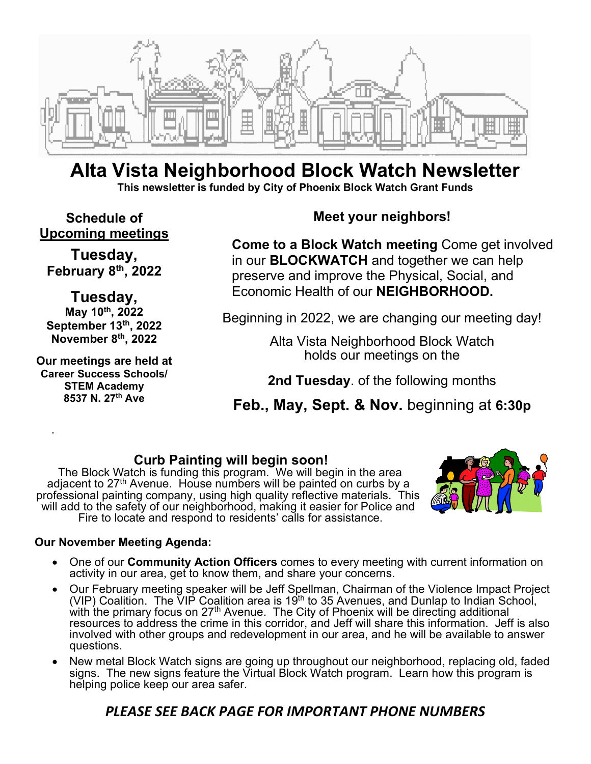

## **Alta Vista Neighborhood Block Watch Newsletter This newsletter is funded by City of Phoenix Block Watch Grant Funds**

**Schedule of Upcoming meetings** 

**Tuesday, February 8th, 2022** 

**Tuesday, May 10th, 2022 September 13th, 2022 November 8th, 2022** 

**Our meetings are held at Career Success Schools/ STEM Academy 8537 N. 27th Ave** 

.

### **Meet your neighbors!**

**Come to a Block Watch meeting** Come get involved in our **BLOCKWATCH** and together we can help preserve and improve the Physical, Social, and Economic Health of our **NEIGHBORHOOD.** 

Beginning in 2022, we are changing our meeting day!

Alta Vista Neighborhood Block Watch holds our meetings on the

**2nd Tuesday**. of the following months

**Feb., May, Sept. & Nov.** beginning at **6:30p**

### **Curb Painting will begin soon!**

The Block Watch is funding this program. We will begin in the area adjacent to 27<sup>th</sup> Avenue. House numbers will be painted on curbs by a professional painting company, using high quality reflective materials. This will add to the safety of our neighborhood, making it easier for Police and Fire to locate and respond to residents' calls for assistance.



#### **Our November Meeting Agenda:**

- One of our **Community Action Officers** comes to every meeting with current information on activity in our area, get to know them, and share your concerns.
- Our February meeting speaker will be Jeff Spellman, Chairman of the Violence Impact Project (VIP) Coalition. The  $\breve{\text{V}}$ IP Coalition area is 19<sup>th</sup> to 35 Avenues, and Dunlap to Indian School, with the primary focus on 27<sup>th</sup> Avenue. The City of Phoenix will be directing additional resources to address the crime in this corridor, and Jeff will share this information. Jeff is also involved with other groups and redevelopment in our area, and he will be available to answer questions.
- New metal Block Watch signs are going up throughout our neighborhood, replacing old, faded signs. The new signs feature the Virtual Block Watch program. Learn how this program is helping police keep our area safer.

# *PLEASE SEE BACK PAGE FOR IMPORTANT PHONE NUMBERS*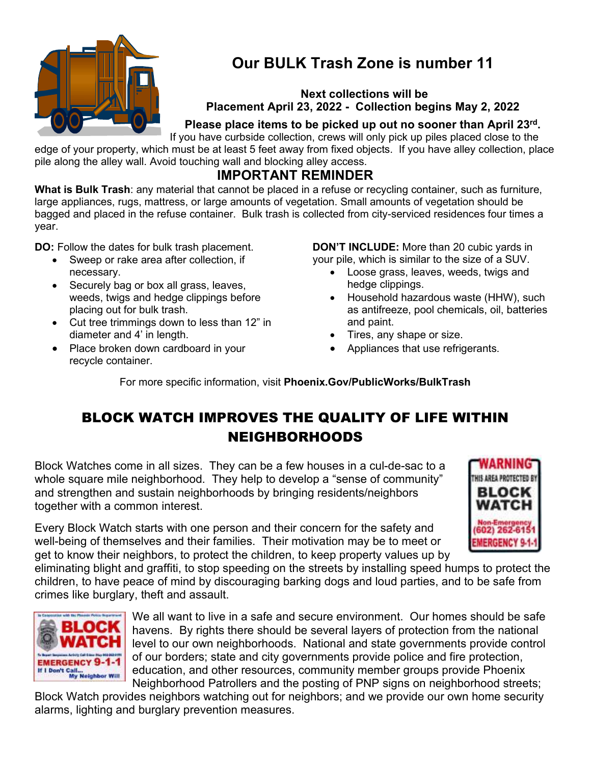

# **Our BULK Trash Zone is number 11**

#### **Next collections will be Placement April 23, 2022 - Collection begins May 2, 2022**

### **Please place items to be picked up out no sooner than April 23rd .**

If you have curbside collection, crews will only pick up piles placed close to the edge of your property, which must be at least 5 feet away from fixed objects. If you have alley collection, place pile along the alley wall. Avoid touching wall and blocking alley access.

### **IMPORTANT REMINDER**

**What is Bulk Trash**: any material that cannot be placed in a refuse or recycling container, such as furniture, large appliances, rugs, mattress, or large amounts of vegetation. Small amounts of vegetation should be bagged and placed in the refuse container. Bulk trash is collected from city-serviced residences four times a year.

**DO:** Follow the dates for bulk trash placement.

- Sweep or rake area after collection, if necessary.
- Securely bag or box all grass, leaves, weeds, twigs and hedge clippings before placing out for bulk trash.
- Cut tree trimmings down to less than 12" in diameter and 4' in length.
- Place broken down cardboard in your recycle container.

**DON'T INCLUDE:** More than 20 cubic yards in your pile, which is similar to the size of a SUV.

- Loose grass, leaves, weeds, twigs and hedge clippings.
- Household hazardous waste (HHW), such as antifreeze, pool chemicals, oil, batteries and paint.
- Tires, any shape or size.
- Appliances that use refrigerants.

For more specific information, visit **Phoenix.Gov/PublicWorks/BulkTrash**

# BLOCK WATCH IMPROVES THE QUALITY OF LIFE WITHIN NEIGHBORHOODS

Block Watches come in all sizes. They can be a few houses in a cul-de-sac to a whole square mile neighborhood. They help to develop a "sense of community" and strengthen and sustain neighborhoods by bringing residents/neighbors together with a common interest.

Every Block Watch starts with one person and their concern for the safety and well-being of themselves and their families. Their motivation may be to meet or get to know their neighbors, to protect the children, to keep property values up by



eliminating blight and graffiti, to stop speeding on the streets by installing speed humps to protect the children, to have peace of mind by discouraging barking dogs and loud parties, and to be safe from crimes like burglary, theft and assault.



We all want to live in a safe and secure environment. Our homes should be safe havens. By rights there should be several layers of protection from the national level to our own neighborhoods. National and state governments provide control of our borders; state and city governments provide police and fire protection, education, and other resources, community member groups provide Phoenix Neighborhood Patrollers and the posting of PNP signs on neighborhood streets;

Block Watch provides neighbors watching out for neighbors; and we provide our own home security alarms, lighting and burglary prevention measures.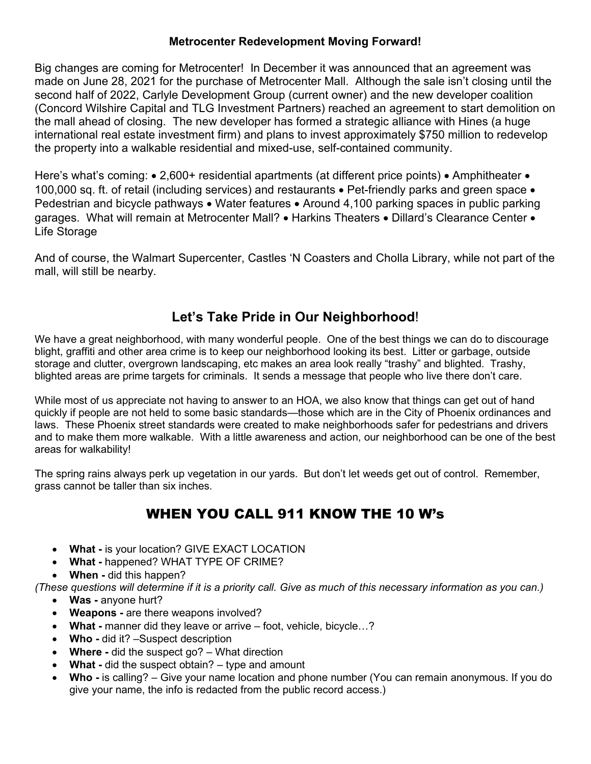#### **Metrocenter Redevelopment Moving Forward!**

Big changes are coming for Metrocenter! In December it was announced that an agreement was made on June 28, 2021 for the purchase of Metrocenter Mall. Although the sale isn't closing until the second half of 2022, Carlyle Development Group (current owner) and the new developer coalition (Concord Wilshire Capital and TLG Investment Partners) reached an agreement to start demolition on the mall ahead of closing. The new developer has formed a strategic alliance with Hines (a huge international real estate investment firm) and plans to invest approximately \$750 million to redevelop the property into a walkable residential and mixed-use, self-contained community.

Here's what's coming:  $\bullet$  2,600+ residential apartments (at different price points)  $\bullet$  Amphitheater  $\bullet$ 100,000 sq. ft. of retail (including services) and restaurants • Pet-friendly parks and green space • Pedestrian and bicycle pathways • Water features • Around 4,100 parking spaces in public parking garages. What will remain at Metrocenter Mall? • Harkins Theaters • Dillard's Clearance Center • Life Storage

And of course, the Walmart Supercenter, Castles 'N Coasters and Cholla Library, while not part of the mall, will still be nearby.

### **Let's Take Pride in Our Neighborhood**!

We have a great neighborhood, with many wonderful people. One of the best things we can do to discourage blight, graffiti and other area crime is to keep our neighborhood looking its best. Litter or garbage, outside storage and clutter, overgrown landscaping, etc makes an area look really "trashy" and blighted. Trashy, blighted areas are prime targets for criminals. It sends a message that people who live there don't care.

While most of us appreciate not having to answer to an HOA, we also know that things can get out of hand quickly if people are not held to some basic standards—those which are in the City of Phoenix ordinances and laws. These Phoenix street standards were created to make neighborhoods safer for pedestrians and drivers and to make them more walkable. With a little awareness and action, our neighborhood can be one of the best areas for walkability!

The spring rains always perk up vegetation in our yards. But don't let weeds get out of control. Remember, grass cannot be taller than six inches.

# WHEN YOU CALL 911 KNOW THE 10 W's

- **What** is your location? GIVE EXACT LOCATION
- **What** happened? WHAT TYPE OF CRIME?
- **When** did this happen?

*(These questions will determine if it is a priority call. Give as much of this necessary information as you can.)* 

- **Was** anyone hurt?
- **Weapons** are there weapons involved?
- **What** manner did they leave or arrive foot, vehicle, bicycle…?
- Who did it? –Suspect description
- **Where** did the suspect go? What direction
- **What** did the suspect obtain? type and amount
- Who is calling? Give your name location and phone number (You can remain anonymous. If you do give your name, the info is redacted from the public record access.)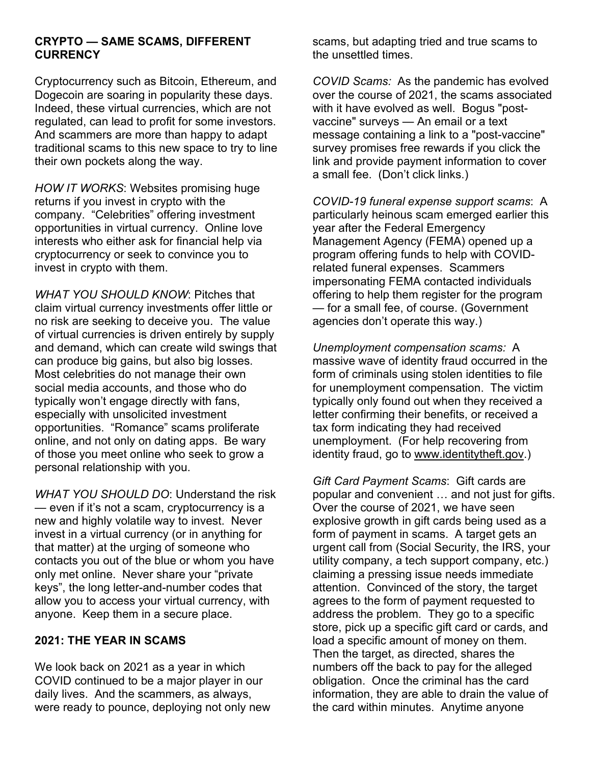#### **CRYPTO — SAME SCAMS, DIFFERENT CURRENCY**

Cryptocurrency such as Bitcoin, Ethereum, and Dogecoin are soaring in popularity these days. Indeed, these virtual currencies, which are not regulated, can lead to profit for some investors. And scammers are more than happy to adapt traditional scams to this new space to try to line their own pockets along the way.

*HOW IT WORKS*: Websites promising huge returns if you invest in crypto with the company. "Celebrities" offering investment opportunities in virtual currency. Online love interests who either ask for financial help via cryptocurrency or seek to convince you to invest in crypto with them.

*WHAT YOU SHOULD KNOW*: Pitches that claim virtual currency investments offer little or no risk are seeking to deceive you. The value of virtual currencies is driven entirely by supply and demand, which can create wild swings that can produce big gains, but also big losses. Most celebrities do not manage their own social media accounts, and those who do typically won't engage directly with fans, especially with unsolicited investment opportunities. "Romance" scams proliferate online, and not only on dating apps. Be wary of those you meet online who seek to grow a personal relationship with you.

*WHAT YOU SHOULD DO*: Understand the risk — even if it's not a scam, cryptocurrency is a new and highly volatile way to invest. Never invest in a virtual currency (or in anything for that matter) at the urging of someone who contacts you out of the blue or whom you have only met online. Never share your "private keys", the long letter-and-number codes that allow you to access your virtual currency, with anyone. Keep them in a secure place.

#### **2021: THE YEAR IN SCAMS**

We look back on 2021 as a year in which COVID continued to be a major player in our daily lives. And the scammers, as always, were ready to pounce, deploying not only new

scams, but adapting tried and true scams to the unsettled times.

*COVID Scams:* As the pandemic has evolved over the course of 2021, the scams associated with it have evolved as well. Bogus "postvaccine" surveys — An email or a text message containing a link to a "post-vaccine" survey promises free rewards if you click the link and provide payment information to cover a small fee. (Don't click links.)

*COVID-19 funeral expense support scams*: A particularly heinous scam emerged earlier this year after the Federal Emergency Management Agency (FEMA) opened up a program offering funds to help with COVIDrelated funeral expenses. Scammers impersonating FEMA contacted individuals offering to help them register for the program — for a small fee, of course. (Government agencies don't operate this way.)

*Unemployment compensation scams:* A massive wave of identity fraud occurred in the form of criminals using stolen identities to file for unemployment compensation. The victim typically only found out when they received a letter confirming their benefits, or received a tax form indicating they had received unemployment. (For help recovering from identity fraud, go to www.identitytheft.gov.)

*Gift Card Payment Scams*: Gift cards are popular and convenient … and not just for gifts. Over the course of 2021, we have seen explosive growth in gift cards being used as a form of payment in scams. A target gets an urgent call from (Social Security, the IRS, your utility company, a tech support company, etc.) claiming a pressing issue needs immediate attention. Convinced of the story, the target agrees to the form of payment requested to address the problem. They go to a specific store, pick up a specific gift card or cards, and load a specific amount of money on them. Then the target, as directed, shares the numbers off the back to pay for the alleged obligation. Once the criminal has the card information, they are able to drain the value of the card within minutes. Anytime anyone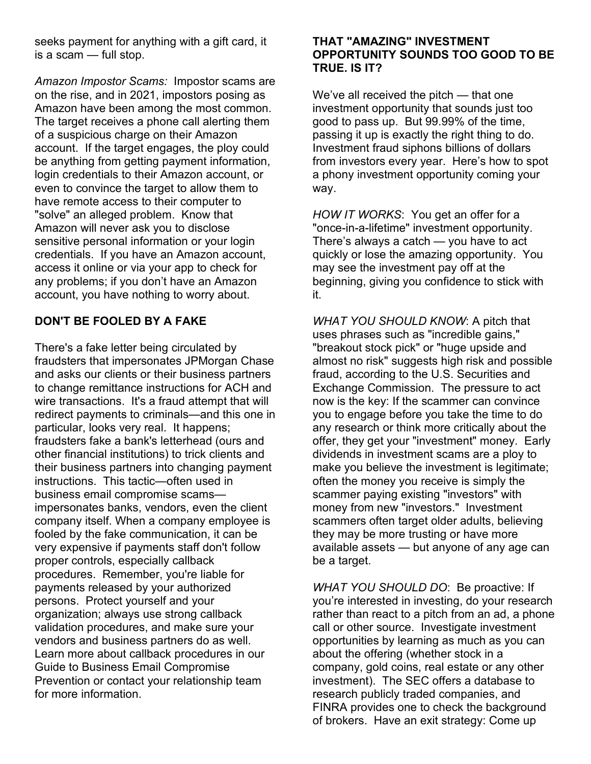seeks payment for anything with a gift card, it is a scam — full stop.

*Amazon Impostor Scams:* Impostor scams are on the rise, and in 2021, impostors posing as Amazon have been among the most common. The target receives a phone call alerting them of a suspicious charge on their Amazon account. If the target engages, the ploy could be anything from getting payment information, login credentials to their Amazon account, or even to convince the target to allow them to have remote access to their computer to "solve" an alleged problem. Know that Amazon will never ask you to disclose sensitive personal information or your login credentials. If you have an Amazon account, access it online or via your app to check for any problems; if you don't have an Amazon account, you have nothing to worry about.

#### **DON'T BE FOOLED BY A FAKE**

There's a fake letter being circulated by fraudsters that impersonates JPMorgan Chase and asks our clients or their business partners to change remittance instructions for ACH and wire transactions. It's a fraud attempt that will redirect payments to criminals—and this one in particular, looks very real. It happens; fraudsters fake a bank's letterhead (ours and other financial institutions) to trick clients and their business partners into changing payment instructions. This tactic—often used in business email compromise scams impersonates banks, vendors, even the client company itself. When a company employee is fooled by the fake communication, it can be very expensive if payments staff don't follow proper controls, especially callback procedures. Remember, you're liable for payments released by your authorized persons. Protect yourself and your organization; always use strong callback validation procedures, and make sure your vendors and business partners do as well. Learn more about callback procedures in our Guide to Business Email Compromise Prevention or contact your relationship team for more information.

#### **THAT "AMAZING" INVESTMENT OPPORTUNITY SOUNDS TOO GOOD TO BE TRUE. IS IT?**

We've all received the pitch — that one investment opportunity that sounds just too good to pass up. But 99.99% of the time, passing it up is exactly the right thing to do. Investment fraud siphons billions of dollars from investors every year. Here's how to spot a phony investment opportunity coming your way.

*HOW IT WORKS*: You get an offer for a "once-in-a-lifetime" investment opportunity. There's always a catch — you have to act quickly or lose the amazing opportunity. You may see the investment pay off at the beginning, giving you confidence to stick with it.

*WHAT YOU SHOULD KNOW*: A pitch that uses phrases such as "incredible gains," "breakout stock pick" or "huge upside and almost no risk" suggests high risk and possible fraud, according to the U.S. Securities and Exchange Commission. The pressure to act now is the key: If the scammer can convince you to engage before you take the time to do any research or think more critically about the offer, they get your "investment" money. Early dividends in investment scams are a ploy to make you believe the investment is legitimate; often the money you receive is simply the scammer paying existing "investors" with money from new "investors." Investment scammers often target older adults, believing they may be more trusting or have more available assets — but anyone of any age can be a target.

*WHAT YOU SHOULD DO*: Be proactive: If you're interested in investing, do your research rather than react to a pitch from an ad, a phone call or other source. Investigate investment opportunities by learning as much as you can about the offering (whether stock in a company, gold coins, real estate or any other investment). The SEC offers a database to research publicly traded companies, and FINRA provides one to check the background of brokers. Have an exit strategy: Come up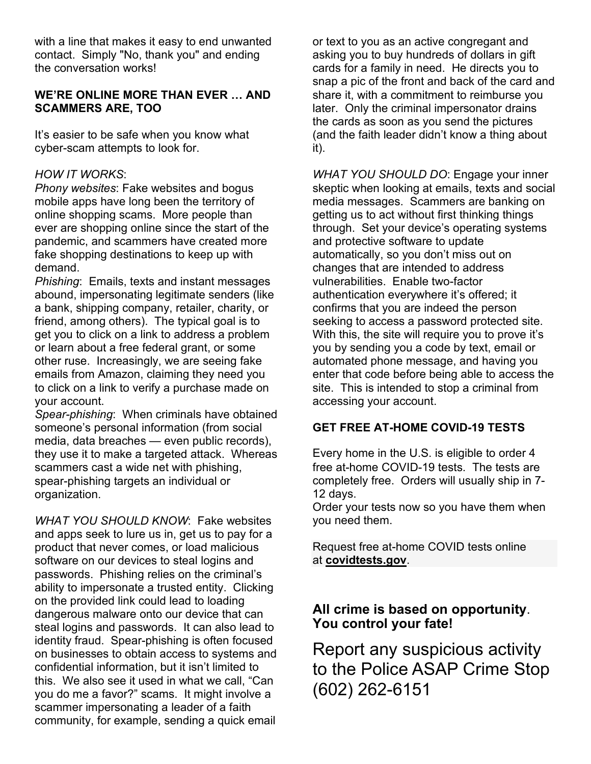with a line that makes it easy to end unwanted contact. Simply "No, thank you" and ending the conversation works!

#### **WE'RE ONLINE MORE THAN EVER … AND SCAMMERS ARE, TOO**

It's easier to be safe when you know what cyber-scam attempts to look for.

#### *HOW IT WORKS*:

*Phony websites*: Fake websites and bogus mobile apps have long been the territory of online shopping scams. More people than ever are shopping online since the start of the pandemic, and scammers have created more fake shopping destinations to keep up with demand.

*Phishing*: Emails, texts and instant messages abound, impersonating legitimate senders (like a bank, shipping company, retailer, charity, or friend, among others). The typical goal is to get you to click on a link to address a problem or learn about a free federal grant, or some other ruse. Increasingly, we are seeing fake emails from Amazon, claiming they need you to click on a link to verify a purchase made on your account.

*Spear-phishing*: When criminals have obtained someone's personal information (from social media, data breaches — even public records), they use it to make a targeted attack. Whereas scammers cast a wide net with phishing, spear-phishing targets an individual or organization.

*WHAT YOU SHOULD KNOW*: Fake websites and apps seek to lure us in, get us to pay for a product that never comes, or load malicious software on our devices to steal logins and passwords. Phishing relies on the criminal's ability to impersonate a trusted entity. Clicking on the provided link could lead to loading dangerous malware onto our device that can steal logins and passwords. It can also lead to identity fraud. Spear-phishing is often focused on businesses to obtain access to systems and confidential information, but it isn't limited to this. We also see it used in what we call, "Can you do me a favor?" scams. It might involve a scammer impersonating a leader of a faith community, for example, sending a quick email

or text to you as an active congregant and asking you to buy hundreds of dollars in gift cards for a family in need. He directs you to snap a pic of the front and back of the card and share it, with a commitment to reimburse you later. Only the criminal impersonator drains the cards as soon as you send the pictures (and the faith leader didn't know a thing about it).

*WHAT YOU SHOULD DO*: Engage your inner skeptic when looking at emails, texts and social media messages. Scammers are banking on getting us to act without first thinking things through. Set your device's operating systems and protective software to update automatically, so you don't miss out on changes that are intended to address vulnerabilities. Enable two-factor authentication everywhere it's offered; it confirms that you are indeed the person seeking to access a password protected site. With this, the site will require you to prove it's you by sending you a code by text, email or automated phone message, and having you enter that code before being able to access the site. This is intended to stop a criminal from accessing your account.

### **GET FREE AT-HOME COVID-19 TESTS**

Every home in the U.S. is eligible to order 4 free at-home COVID-19 tests. The tests are completely free. Orders will usually ship in 7- 12 days.

Order your tests now so you have them when you need them.

Request free at-home COVID tests online at **covidtests.gov**.

### **All crime is based on opportunity**. **You control your fate!**

Report any suspicious activity to the Police ASAP Crime Stop (602) 262-6151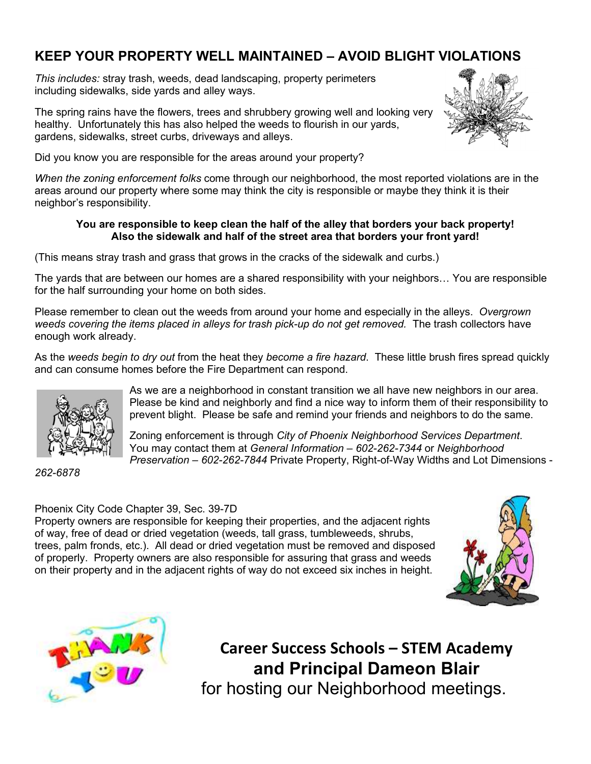### **KEEP YOUR PROPERTY WELL MAINTAINED – AVOID BLIGHT VIOLATIONS**

*This includes:* stray trash, weeds, dead landscaping, property perimeters including sidewalks, side yards and alley ways.

The spring rains have the flowers, trees and shrubbery growing well and looking very healthy. Unfortunately this has also helped the weeds to flourish in our yards, gardens, sidewalks, street curbs, driveways and alleys.



Did you know you are responsible for the areas around your property?

*When the zoning enforcement folks* come through our neighborhood, the most reported violations are in the areas around our property where some may think the city is responsible or maybe they think it is their neighbor's responsibility.

#### **You are responsible to keep clean the half of the alley that borders your back property! Also the sidewalk and half of the street area that borders your front yard!**

(This means stray trash and grass that grows in the cracks of the sidewalk and curbs.)

The yards that are between our homes are a shared responsibility with your neighbors… You are responsible for the half surrounding your home on both sides.

Please remember to clean out the weeds from around your home and especially in the alleys. *Overgrown weeds covering the items placed in alleys for trash pick-up do not get removed.* The trash collectors have enough work already.

As the *weeds begin to dry out* from the heat they *become a fire hazard*. These little brush fires spread quickly and can consume homes before the Fire Department can respond.



*262-6878* 

As we are a neighborhood in constant transition we all have new neighbors in our area. Please be kind and neighborly and find a nice way to inform them of their responsibility to prevent blight. Please be safe and remind your friends and neighbors to do the same.

Zoning enforcement is through *City of Phoenix Neighborhood Services Department*. You may contact them at *General Information – 602-262-7344* or *Neighborhood Preservation – 602-262-7844* Private Property, Right-of-Way Widths and Lot Dimensions -

Phoenix City Code Chapter 39, Sec. 39-7D

Property owners are responsible for keeping their properties, and the adjacent rights of way, free of dead or dried vegetation (weeds, tall grass, tumbleweeds, shrubs, trees, palm fronds, etc.). All dead or dried vegetation must be removed and disposed of properly. Property owners are also responsible for assuring that grass and weeds on their property and in the adjacent rights of way do not exceed six inches in height.





**Career Success Schools – STEM Academy and Principal Dameon Blair**  for hosting our Neighborhood meetings.